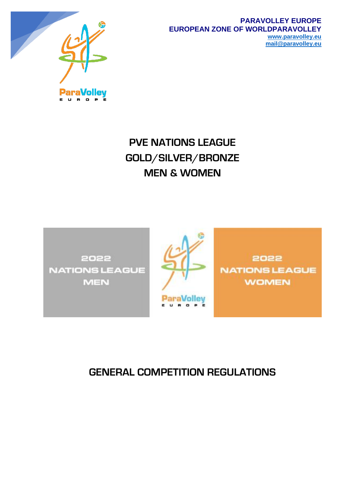

E U R O P

Έ

#### **PARAVOLLEY EUROPE EUROPEAN ZONE OF WORLDPARAVOLLEY [www.paravolley.eu](http://www.paravolley.eu/) [mail@paravolley.eu](mailto:mail@paravolley.eu)**

**PVE NATIONS LEAGUE GOLD/SILVER/BRONZE MEN & WOMEN**





2022 **NATIONS LEAGUE WOMEN** 

# **GENERAL COMPETITION REGULATIONS**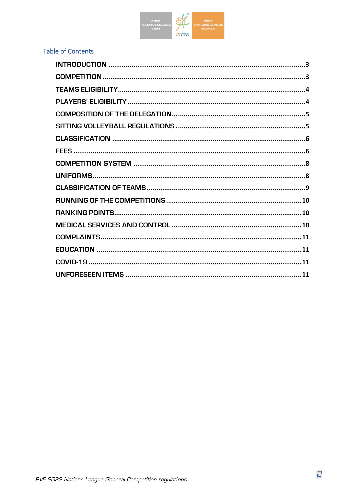

# **Table of Contents**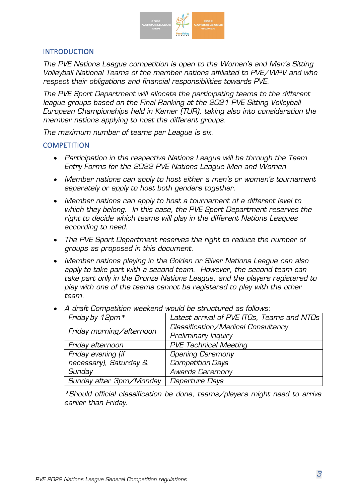

# <span id="page-2-0"></span>**INTRODUCTION**

*The PVE Nations League competition is open to the Women's and Men's Sitting Volleyball National Teams of the member nations affiliated to PVE/WPV and who respect their obligations and financial responsibilities towards PVE.* 

*The PVE Sport Department will allocate the participating teams to the different league groups based on the Final Ranking at the 2021 PVE Sitting Volleyball European Championships held in Kemer (TUR), taking also into consideration the member nations applying to host the different groups.*

*The maximum number of teams per League is six.*

# <span id="page-2-1"></span>**COMPETITION**

- *Participation in the respective Nations League will be through the Team Entry Forms for the 2022 PVE Nations League Men and Women*
- *Member nations can apply to host either a men's or women's tournament separately or apply to host both genders together.*
- *Member nations can apply to host a tournament of a different level to which they belong. In this case, the PVE Sport Department reserves the right to decide which teams will play in the different Nations Leagues according to need.*
- *The PVE Sport Department reserves the right to reduce the number of groups as proposed in this document.*
- *Member nations playing in the Golden or Silver Nations League can also apply to take part with a second team. However, the second team can take part only in the Bronze Nations League, and the players registered to play with one of the teams cannot be registered to play with the other team.*

| Friday by 12pm*          | Latest arrival of PVE ITOs, Teams and NTOs |  |  |  |
|--------------------------|--------------------------------------------|--|--|--|
|                          | Classification/Medical Consultancy         |  |  |  |
| Friday morning/afternoon | Preliminary Inquiry                        |  |  |  |
| Friday afternoon         | <b>PVE Technical Meeting</b>               |  |  |  |
| Friday evening (if       | <b>Opening Ceremony</b>                    |  |  |  |
| necessary), Saturday &   | <b>Competition Days</b>                    |  |  |  |
| Sunday                   | <b>Awards Ceremony</b>                     |  |  |  |
| Sunday after 3pm/Monday  | Departure Days                             |  |  |  |

• *A draft Competition weekend would be structured as follows:* 

*\*Should official classification be done, teams/players might need to arrive earlier than Friday.*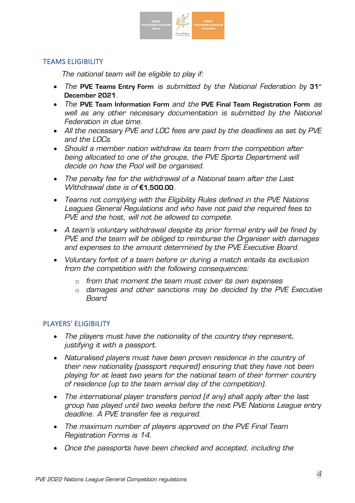

# <span id="page-3-0"></span>TEAMS ELIGIBILITY

*The national team will be eligible to play if:*

- *The PVE Teams Entry Form is submitted by the National Federation by 31<sup>st</sup>* **December 2021***.*
- *The* **PVE Team Information Form** *and the* **PVE Final Team Registration Form** *as well as any other necessary documentation is submitted by the National Federation in due time.*
- *All the necessary PVE and LOC fees are paid by the deadlines as set by PVE and the LOCs*
- *Should a member nation withdraw its team from the competition after being allocated to one of the groups, the PVE Sports Department will decide on how the Pool will be organised.*
- *The penalty fee for the withdrawal of a National team after the Last Withdrawal date is of* **€1,500.00***.*
- *Teams not complying with the Eligibility Rules defined in the PVE Nations Leagues General Regulations and who have not paid the required fees to PVE and the host, will not be allowed to compete.*
- *A team's voluntary withdrawal despite its prior formal entry will be fined by PVE and the team will be obliged to reimburse the Organiser with damages and expenses to the amount determined by the PVE Executive Board.*
- *Voluntary forfeit of a team before or during a match entails its exclusion from the competition with the following consequences:*
	- o *from that moment the team must cover its own expenses*
	- o *damages and other sanctions may be decided by the PVE Executive Board*

# <span id="page-3-1"></span>PLAYERS' ELIGIBILITY

- *The players must have the nationality of the country they represent, justifying it with a passport.*
- *Naturalised players must have been proven residence in the country of their new nationality (passport required) ensuring that they have not been playing for at least two years for the national team of their former country of residence (up to the team arrival day of the competition).*
- *The international player transfers period (if any) shall apply after the last group has played until two weeks before the next PVE Nations League entry deadline. A PVE transfer fee is required.*
- *The maximum number of players approved on the PVE Final Team Registration Forms is 14.*
- *Once the passports have been checked and accepted, including the*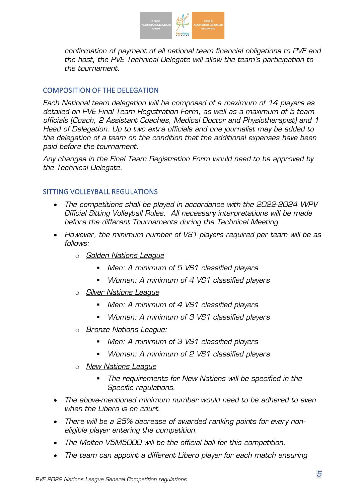

*confirmation of payment of all national team financial obligations to PVE and the host, the PVE Technical Delegate will allow the team's participation to the tournament.*

# <span id="page-4-0"></span>COMPOSITION OF THE DELEGATION

*Each National team delegation will be composed of a maximum of 14 players as detailed on PVE Final Team Registration Form, as well as a maximum of 5 team officials (Coach, 2 Assistant Coaches, Medical Doctor and Physiotherapist) and 1 Head of Delegation. Up to two extra officials and one journalist may be added to the delegation of a team on the condition that the additional expenses have been paid before the tournament.*

*Any changes in the Final Team Registration Form would need to be approved by the Technical Delegate.*

# <span id="page-4-1"></span>SITTING VOLLEYBALL REGULATIONS

- *The competitions shall be played in accordance with the 2022-2024 WPV Official Sitting Volleyball Rules. All necessary interpretations will be made before the different Tournaments during the Technical Meeting.*
- *However, the minimum number of VS1 players required per team will be as follows:*
	- o *Golden Nations League*
		- *Men: A minimum of 5 VS1 classified players*
		- *Women: A minimum of 4 VS1 classified players*
	- o *Silver Nations League*
		- *Men: A minimum of 4 VS1 classified players*
		- *Women: A minimum of 3 VS1 classified players*
	- o *Bronze Nations League:* 
		- *Men: A minimum of 3 VS1 classified players*
		- *Women: A minimum of 2 VS1 classified players*
	- o *New Nations League*
		- *The requirements for New Nations will be specified in the Specific regulations.*
- *The above-mentioned minimum number would need to be adhered to even when the Libero is on court.*
- *There will be a 25% decrease of awarded ranking points for every noneligible player entering the competition.*
- *The Molten V5M5000 will be the official ball for this competition.*
- *The team can appoint a different Libero player for each match ensuring*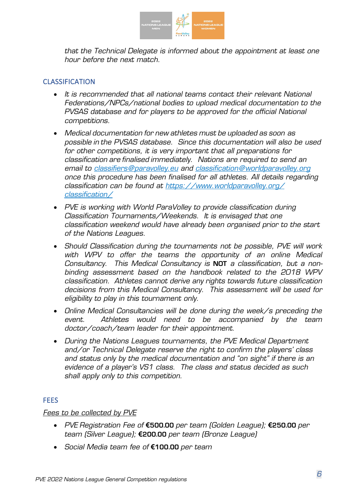

*that the Technical Delegate is informed about the appointment at least one hour before the next match.*

# <span id="page-5-0"></span>CLASSIFICATION

- *It is recommended that all national teams contact their relevant National Federations/NPCs/national bodies to upload medical documentation to the PVSAS database and for players to be approved for the official National competitions.*
- *Medical documentation for new athletes must be uploaded as soon as possible in the PVSAS database. Since this documentation will also be used for other competitions, it is very important that all preparations for classification are finalised immediately. Nations are required to send an email to [classifiers@paravolley.eu](mailto:classifiers@paravolley.eu) and [classification@worldparavolley.org](mailto:classification@worldparavolley.org) once this procedure has been finalised for all athletes. All details regarding classification can be found at [https://www.worldparavolley.org/](https://www.worldparavolley.org/%20classification/)  [classification/](https://www.worldparavolley.org/%20classification/)*
- *PVE is working with World ParaVolley to provide classification during Classification Tournaments/Weekends. It is envisaged that one classification weekend would have already been organised prior to the start of the Nations Leagues.*
- *Should Classification during the tournaments not be possible, PVE will work with WPV to offer the teams the opportunity of an online Medical Consultancy. This Medical Consultancy is* **NOT** *a classification, but a nonbinding assessment based on the handbook related to the 2018 WPV classification. Athletes cannot derive any rights towards future classification decisions from this Medical Consultancy. This assessment will be used for eligibility to play in this tournament only.*
- *Online Medical Consultancies will be done during the week/s preceding the event. Athletes would need to be accompanied by the team doctor/coach/team leader for their appointment.*
- *During the Nations Leagues tournaments, the PVE Medical Department and/or Technical Delegate reserve the right to confirm the players' class and status only by the medical documentation and "on sight" if there is an evidence of a player's VS1 class. The class and status decided as such shall apply only to this competition.*

# <span id="page-5-1"></span>**FEES**

#### *Fees to be collected by PVE*

- *PVE Registration Fee of* **€500.00** *per team (Golden League);* **€250.00** *per team (Silver League);* **€200.00** *per team (Bronze League)*
- *Social Media team fee of* **€100.00** *per team*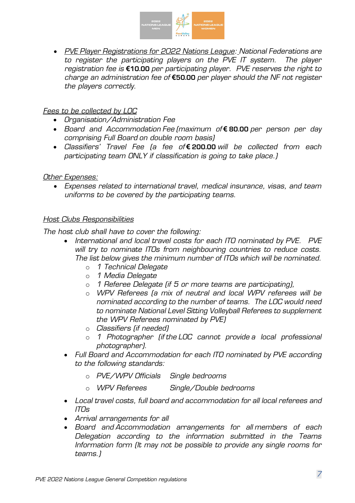

• *PVE Player Registrations for 2022 Nations League: National Federations are to register the participating players on the PVE IT system. The player registration fee is* **€10.00** *per participating player. PVE reserves the right to charge an administration fee of* **€50.00** *per player should the NF not register the players correctly.*

# *Fees to be collected by LOC*

- *Organisation/Administration Fee*
- *Board and Accommodation Fee (maximum of* **€ 80.00** *per person per day comprising Full Board on double room basis)*
- *Classifiers' Travel Fee (a fee of* **€ 200.00** *will be collected from each participating team ONLY if classification is going to take place.)*

# *Other Expenses:*

• *Expenses related to international travel, medical insurance, visas, and team uniforms to be covered by the participating teams.*

# *Host Clubs Responsibilities*

*The host club shall have to cover the following:* 

- *International and local travel costs for each ITO nominated by PVE. PVE will try to nominate ITOs from neighbouring countries to reduce costs. The list below gives the minimum number of ITOs which will be nominated.*
	- o *1 Technical Delegate*
	- o *1 Media Delegate*
	- o *1 Referee Delegate (if 5 or more teams are participating),*
	- o *WPV Referees (a mix of neutral and local WPV referees will be nominated according to the number of teams. The LOC would need to nominate National Level Sitting Volleyball Referees to supplement the WPV Referees nominated by PVE)*
	- o *Classifiers (if needed)*
	- o *1 Photographer (if the LOC cannot provide a local professional photographer).*
- *Full Board and Accommodation for each ITO nominated by PVE according to the following standards:*
	- o *PVE/WPV Officials Single bedrooms*
	- o *WPV Referees Single/Double bedrooms*
- *Local travel costs, full board and accommodation for all local referees and ITOs*
- *Arrival arrangements for all*
- *Board and Accommodation arrangements for all members of each Delegation according to the information submitted in the Teams Information form (It may not be possible to provide any single rooms for teams.)*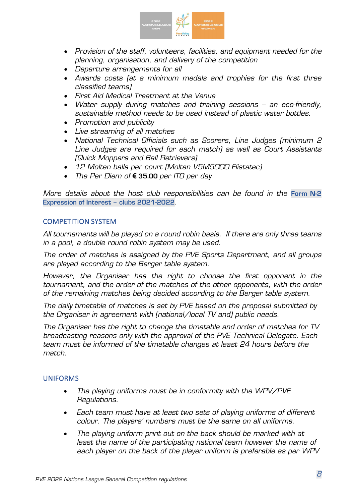

- *Provision of the staff, volunteers, facilities, and equipment needed for the planning, organisation, and delivery of the competition*
- *Departure arrangements for all*
- *Awards costs (at a minimum medals and trophies for the first three classified teams)*
- *First Aid Medical Treatment at the Venue*
- *Water supply during matches and training sessions – an eco-friendly, sustainable method needs to be used instead of plastic water bottles.*
- *Promotion and publicity*
- *Live streaming of all matches*
- *National Technical Officials such as Scorers, Line Judges (minimum 2 Line Judges are required for each match) as well as Court Assistants (Quick Moppers and Ball Retrievers)*
- *12 Molten balls per court (Molten V5M5000 Flistatec)*
- *The Per Diem of* **€ 35.00** *per ITO per day*

*More details about the host club responsibilities can be found in the Form N-2* **Expression of Interest – clubs 2021-2022***.*

### <span id="page-7-0"></span>COMPETITION SYSTEM

*All tournaments will be played on a round robin basis. If there are only three teams in a pool, a double round robin system may be used.*

*The order of matches is assigned by the PVE Sports Department, and all groups are played according to the Berger table system.*

*However, the Organiser has the right to choose the first opponent in the tournament, and the order of the matches of the other opponents, with the order of the remaining matches being decided according to the Berger table system.*

*The daily timetable of matches is set by PVE based on the proposal submitted by the Organiser in agreement with (national/local TV and) public needs.*

*The Organiser has the right to change the timetable and order of matches for TV broadcasting reasons only with the approval of the PVE Technical Delegate. Each team must be informed of the timetable changes at least 24 hours before the match.*

#### <span id="page-7-1"></span>UNIFORMS

- *The playing uniforms must be in conformity with the WPV/PVE Regulations.*
- *Each team must have at least two sets of playing uniforms of different colour. The players' numbers must be the same on all uniforms.*
- *The playing uniform print out on the back should be marked with at least the name of the participating national team however the name of each player on the back of the player uniform is preferable as per WPV*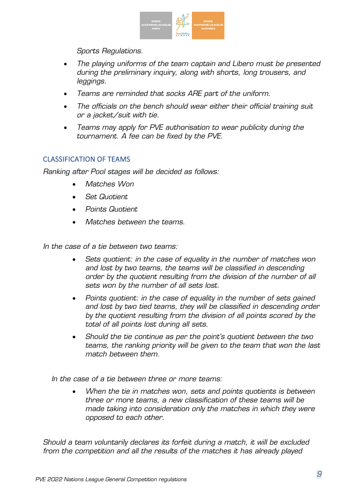

*Sports Regulations.* 

- *The playing uniforms of the team captain and Libero must be presented during the preliminary inquiry, along with shorts, long trousers, and leggings.*
- *Teams are reminded that socks ARE part of the uniform.*
- *The officials on the bench should wear either their official training suit or a jacket/suit with tie.*
- *Teams may apply for PVE authorisation to wear publicity during the tournament. A fee can be fixed by the PVE.*

# <span id="page-8-0"></span>CLASSIFICATION OF TEAMS

*Ranking after Pool stages will be decided as follows:*

- *Matches Won*
- *Set Quotient*
- *Points Quotient*
- *Matches between the teams.*

*In the case of a tie between two teams:*

- *Sets quotient: in the case of equality in the number of matches won and lost by two teams, the teams will be classified in descending order by the quotient resulting from the division of the number of all sets won by the number of all sets lost.*
- *Points quotient: in the case of equality in the number of sets gained and lost by two tied teams, they will be classified in descending order by the quotient resulting from the division of all points scored by the total of all points lost during all sets.*
- *Should the tie continue as per the point's quotient between the two teams, the ranking priority will be given to the team that won the last match between them.*

*In the case of a tie between three or more teams:*

• *When the tie in matches won, sets and points quotients is between three or more teams, a new classification of these teams will be made taking into consideration only the matches in which they were opposed to each other.* 

*Should a team voluntarily declares its forfeit during a match, it will be excluded from the competition and all the results of the matches it has already played*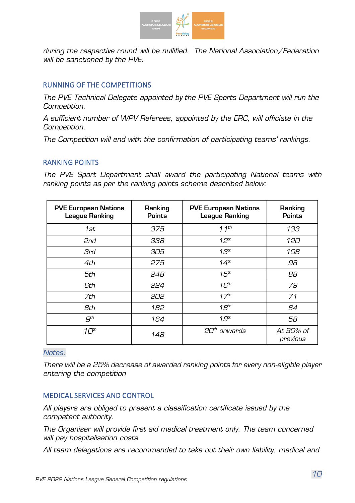

*during the respective round will be nullified. The National Association/Federation will be sanctioned by the PVE.*

# <span id="page-9-0"></span>RUNNING OF THE COMPETITIONS

*The PVE Technical Delegate appointed by the PVE Sports Department will run the Competition.*

*A sufficient number of WPV Referees, appointed by the ERC, will officiate in the Competition.*

*The Competition will end with the confirmation of participating teams' rankings.* 

# <span id="page-9-1"></span>RANKING POINTS

*The PVE Sport Department shall award the participating National teams with ranking points as per the ranking points scheme described below:*

| <b>PVE European Nations</b><br><b>League Ranking</b> | Ranking<br><b>Points</b> | <b>PVE European Nations</b><br><b>League Ranking</b> | Ranking<br><b>Points</b> |
|------------------------------------------------------|--------------------------|------------------------------------------------------|--------------------------|
| 1st                                                  | 375                      | $11^{th}$                                            | 133                      |
| 2nd                                                  | 338                      | $12^{th}$                                            | 120                      |
| <b>3rd</b>                                           | 305                      | 13 <sup>th</sup>                                     | 108                      |
| 4th                                                  | 275                      | 14 <sup>th</sup>                                     | 98                       |
| 5th                                                  | 248                      | 15 <sup>th</sup>                                     | 88                       |
| 6th                                                  | 224                      | 16 <sup>th</sup>                                     | 79                       |
| 7th                                                  | 202                      | 17 <sup>th</sup>                                     | 71                       |
| 8th                                                  | 182                      | 18 <sup>th</sup>                                     | 64                       |
| $g^{th}$                                             | 164                      | 19 <sup>th</sup>                                     | 58                       |
| 10 <sup>th</sup>                                     | 148                      | 20 <sup>th</sup> onwards                             | At 90% of<br>previous    |

*Notes:* 

*There will be a 25% decrease of awarded ranking points for every non-eligible player entering the competition*

# <span id="page-9-2"></span>MEDICAL SERVICES AND CONTROL

*All players are obliged to present a classification certificate issued by the competent authority.*

*The Organiser will provide first aid medical treatment only. The team concerned will pay hospitalisation costs.*

*All team delegations are recommended to take out their own liability, medical and*